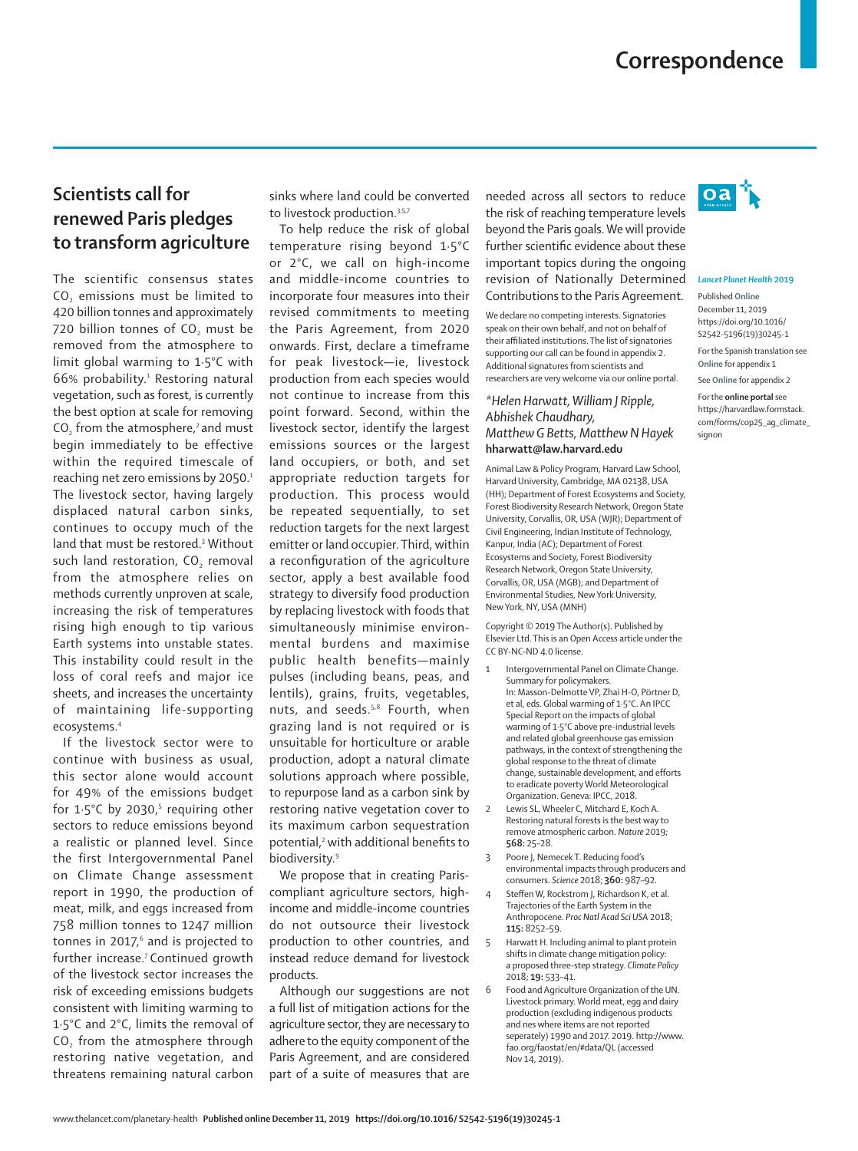## **Scientists call for renewed Paris pledges to transform agriculture**

The scientific consensus states CO2 emissions must be limited to 420 billion tonnes and approximately 720 billion tonnes of CO<sub>2</sub> must be removed from the atmosphere to limit global warming to 1·5°C with 66% probability.1 Restoring natural vegetation, such as forest, is currently the best option at scale for removing  $CO<sub>2</sub>$  from the atmosphere,<sup>2</sup> and must begin immediately to be effective within the required timescale of reaching net zero emissions by 2050.<sup>1</sup> The livestock sector, having largely displaced natural carbon sinks, continues to occupy much of the land that must be restored.3 Without such land restoration, CO<sub>2</sub> removal from the atmosphere relies on methods currently unproven at scale, increasing the risk of temperatures rising high enough to tip various Earth systems into unstable states. This instability could result in the loss of coral reefs and major ice sheets, and increases the uncertainty of maintaining life-supporting ecosystems.4

If the livestock sector were to continue with business as usual, this sector alone would account for 49% of the emissions budget for  $1.5^{\circ}$ C by 2030,<sup>5</sup> requiring other sectors to reduce emissions beyond a realistic or planned level. Since the first Intergovernmental Panel on Climate Change assessment report in 1990, the production of meat, milk, and eggs increased from 758 million tonnes to 1247 million tonnes in 2017,<sup>6</sup> and is projected to further increase.<sup>7</sup> Continued growth of the livestock sector increases the risk of exceeding emissions budgets consistent with limiting warming to 1·5°C and 2°C, limits the removal of CO<sub>2</sub> from the atmosphere through restoring native vegetation, and threatens remaining natural carbon

sinks where land could be converted to livestock production.<sup>3,5,7</sup>

To help reduce the risk of global temperature rising beyond 1·5°C or 2°C, we call on high-income and middle-income countries to incorporate four measures into their revised commitments to meeting the Paris Agreement, from 2020 onwards. First, declare a timeframe for peak livestock—ie, livestock production from each species would not continue to increase from this point forward. Second, within the livestock sector, identify the largest emissions sources or the largest land occupiers, or both, and set appropriate reduction targets for production. This process would be repeated sequentially, to set reduction targets for the next largest emitter or land occupier. Third, within a reconfiguration of the agriculture sector, apply a best available food strategy to diversify food production by replacing livestock with foods that simultaneously minimise environmental burdens and maximise public health benefits—mainly pulses (including beans, peas, and lentils), grains, fruits, vegetables, nuts, and seeds.5,8 Fourth, when grazing land is not required or is unsuitable for horticulture or arable production, adopt a natural climate solutions approach where possible, to repurpose land as a carbon sink by restoring native vegetation cover to its maximum carbon sequestration potential,<sup>2</sup> with additional benefits to biodiversity.<sup>9</sup>

We propose that in creating Pariscompliant agriculture sectors, highincome and middle-income countries do not outsource their livestock production to other countries, and instead reduce demand for livestock products.

Although our suggestions are not a full list of mitigation actions for the agriculture sector, they are necessary to adhere to the equity component of the Paris Agreement, and are considered part of a suite of measures that are

needed across all sectors to reduce the risk of reaching temperature levels beyond the Paris goals. We will provide further scientific evidence about these important topics during the ongoing revision of Nationally Determined Contributions to the Paris Agreement.

We declare no competing interests. Signatories speak on their own behalf, and not on behalf of their affiliated institutions. The list of signatories supporting our call can be found in appendix 2. Additional signatures from scientists and researchers are very welcome via our [online portal.](https://harvardlaw.formstack.com/forms/cop25_ag_climate_signon)

*\*Helen Harwatt, William J Ripple, Abhishek Chaudhary, Matthew G Betts, Matthew N Hayek* **hharwatt@law.harvard.edu**

Animal Law & Policy Program, Harvard Law School, Harvard University, Cambridge, MA 02138, USA (HH); Department of Forest Ecosystems and Society, Forest Biodiversity Research Network, Oregon State University, Corvallis, OR, USA (WJR); Department of Civil Engineering, Indian Institute of Technology, Kanpur, India (AC); Department of Forest Ecosystems and Society, Forest Biodiversity Research Network, Oregon State University, Corvallis, OR, USA (MGB); and Department of Environmental Studies, New York University, New York, NY, USA (MNH)

Copyright © 2019 The Author(s). Published by Elsevier Ltd. This is an Open Access article under the CC BY-NC-ND 4.0 license.

- 1 Intergovernmental Panel on Climate Change. Summary for policymakers. In: Masson-Delmotte VP, Zhai H-O, Pörtner D, et al, eds. Global warming of 1·5°C. An IPCC Special Report on the impacts of global warming of 1·5°C above pre-industrial levels and related global greenhouse gas emission pathways, in the context of strengthening the global response to the threat of climate change, sustainable development, and efforts to eradicate poverty World Meteorological Organization. Geneva: IPCC, 2018.
- Lewis SL, Wheeler C, Mitchard E, Koch A. Restoring natural forests is the best way to remove atmospheric carbon. *Nature* 2019; **568:** 25–28.
- 3 Poore J, Nemecek T. Reducing food's environmental impacts through producers and consumers. *Science* 2018; **360:** 987–92.
- Steffen W, Rockstrom J, Richardson K, et al. Trajectories of the Earth System in the Anthropocene. *Proc Natl Acad Sci USA* 2018; **115:** 8252–59.
- 5 Harwatt H. Including animal to plant protein shifts in climate change mitigation policy: a proposed three-step strategy. *Climate Policy* 2018; **19:** 533–41.
- 6 Food and Agriculture Organization of the UN. Livestock primary. World meat, egg and dairy production (excluding indigenous products and nes where items are not reported seperately) 1990 and 2017. 2019. http://www. fao.org/faostat/en/#data/QL (accessed Nov 14, 2019).



## *Lancet Planet Health* **2019**

Published **Online** December 11, 2019 https://doi.org/10.1016/ S2542-5196(19)30245-1 For the Spanish translation see **Online** for appendix 1 See **Online** for appendix 2

For the **online portal** see

https://harvardlaw.formstack. com/forms/cop25\_ag\_climate\_ signon